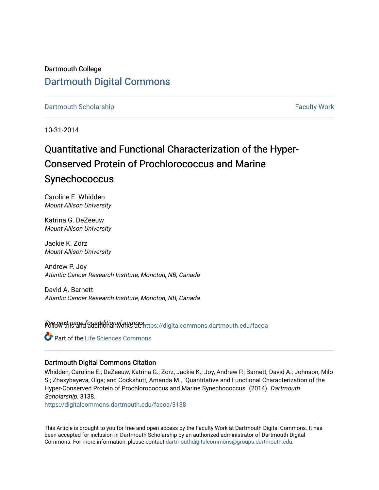# Dartmouth College [Dartmouth Digital Commons](https://digitalcommons.dartmouth.edu/)

[Dartmouth Scholarship](https://digitalcommons.dartmouth.edu/facoa) Faculty Work

10-31-2014

# Quantitative and Functional Characterization of the Hyper-Conserved Protein of Prochlorococcus and Marine **Synechococcus**

Caroline E. Whidden Mount Allison University

Katrina G. DeZeeuw Mount Allison University

Jackie K. Zorz Mount Allison University

Andrew P. Joy Atlantic Cancer Research Institute, Moncton, NB, Canada

David A. Barnett Atlantic Cancer Research Institute, Moncton, NB, Canada

Sere Next page for additional authors and a digital commons.dartmouth.edu/facoa

Part of the [Life Sciences Commons](http://network.bepress.com/hgg/discipline/1016?utm_source=digitalcommons.dartmouth.edu%2Ffacoa%2F3138&utm_medium=PDF&utm_campaign=PDFCoverPages) 

## Dartmouth Digital Commons Citation

Whidden, Caroline E.; DeZeeuw, Katrina G.; Zorz, Jackie K.; Joy, Andrew P.; Barnett, David A.; Johnson, Milo S.; Zhaxybayeva, Olga; and Cockshutt, Amanda M., "Quantitative and Functional Characterization of the Hyper-Conserved Protein of Prochlorococcus and Marine Synechococcus" (2014). Dartmouth Scholarship. 3138.

[https://digitalcommons.dartmouth.edu/facoa/3138](https://digitalcommons.dartmouth.edu/facoa/3138?utm_source=digitalcommons.dartmouth.edu%2Ffacoa%2F3138&utm_medium=PDF&utm_campaign=PDFCoverPages) 

This Article is brought to you for free and open access by the Faculty Work at Dartmouth Digital Commons. It has been accepted for inclusion in Dartmouth Scholarship by an authorized administrator of Dartmouth Digital Commons. For more information, please contact [dartmouthdigitalcommons@groups.dartmouth.edu](mailto:dartmouthdigitalcommons@groups.dartmouth.edu).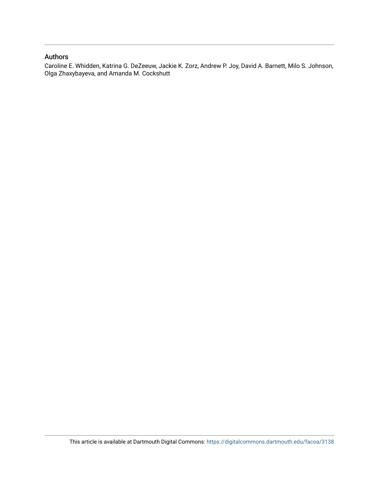# Authors

Caroline E. Whidden, Katrina G. DeZeeuw, Jackie K. Zorz, Andrew P. Joy, David A. Barnett, Milo S. Johnson, Olga Zhaxybayeva, and Amanda M. Cockshutt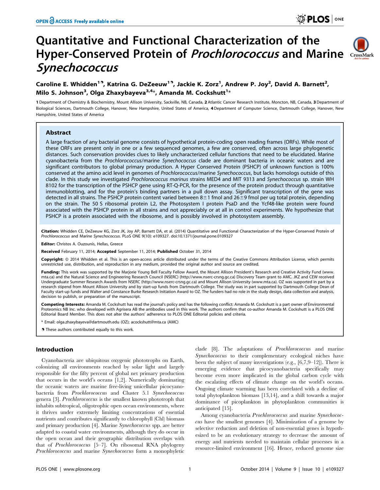# Quantitative and Functional Characterization of the Hyper-Conserved Protein of *Prochlorococcus* and Marine CrossMark **Synechococcus**



# Caroline E. Whidden<sup>19</sup>, Katrina G. DeZeeuw<sup>19</sup>, Jackie K. Zorz<sup>1</sup>, Andrew P. Joy<sup>2</sup>, David A. Barnett<sup>2</sup>, Milo S. Johnson<sup>3</sup>, Olga Zhaxybayeva<sup>3,4</sup>\*, Amanda M. Cockshutt<sup>1</sup>\*

1 Department of Chemistry & Biochemistry, Mount Allison University, Sackville, NB, Canada, 2 Atlantic Cancer Research Institute, Moncton, NB, Canada, 3 Department of Biological Sciences, Dartmouth College, Hanover, New Hampshire, United States of America, 4 Department of Computer Science, Dartmouth College, Hanover, New Hampshire, United States of America

## Abstract

A large fraction of any bacterial genome consists of hypothetical protein-coding open reading frames (ORFs). While most of these ORFs are present only in one or a few sequenced genomes, a few are conserved, often across large phylogenetic distances. Such conservation provides clues to likely uncharacterized cellular functions that need to be elucidated. Marine cyanobacteria from the Prochlorococcus/marine Synechococcus clade are dominant bacteria in oceanic waters and are significant contributors to global primary production. A Hyper Conserved Protein (PSHCP) of unknown function is 100% conserved at the amino acid level in genomes of Prochlorococcus/marine Synechococcus, but lacks homologs outside of this clade. In this study we investigated Prochlorococcus marinus strains MED4 and MIT 9313 and Synechococcus sp. strain WH 8102 for the transcription of the PSHCP gene using RT-Q-PCR, for the presence of the protein product through quantitative immunoblotting, and for the protein's binding partners in a pull down assay. Significant transcription of the gene was detected in all strains. The PSHCP protein content varied between 8 $\pm$ 1 fmol and 26 $\pm$ 9 fmol per ug total protein, depending on the strain. The 50 S ribosomal protein L2, the Photosystem I protein PsaD and the Ycf48-like protein were found associated with the PSHCP protein in all strains and not appreciably or at all in control experiments. We hypothesize that PSHCP is a protein associated with the ribosome, and is possibly involved in photosystem assembly.

Citation: Whidden CE, DeZeeuw KG, Zorz JK, Joy AP, Barnett DA, et al. (2014) Quantitative and Functional Characterization of the Hyper-Conserved Protein of Prochlorococcus and Marine Synechococcus. PLoS ONE 9(10): e109327. doi:10.1371/journal.pone.0109327

Editor: Christos A. Ouzounis, Hellas, Greece

Received February 11, 2014; Accepted September 11, 2014; Published October 31, 2014

Copyright: © 2014 Whidden et al. This is an open-access article distributed under the terms of the [Creative Commons Attribution License,](http://creativecommons.org/licenses/by/4.0/) which permits unrestricted use, distribution, and reproduction in any medium, provided the original author and source are credited.

Funding: This work was supported by the Marjorie Young Bell Faculty Fellow Award, the Mount Allison President's Research and Creative Activity Fund ([www.](www.mta.ca) [mta.ca\)](www.mta.ca) and the Natural Science and Engineering Research Council (NSERC) ([http://www.nserc-crsng.gc.ca\)](http://www.nserc-crsng.gc.ca) Discovery Team grant to AMC. JKZ and CEW received Undergraduate Summer Research Awards from NSERC (<http://www.nserc-crsng.gc.ca>) and Mount Allison University (<www.mta.ca>). OZ was supported in part by a research stipend from Mount Allison University and by start-up funds from Dartmouth College. The study was in part supported by Dartmouth College Dean of Faculty start-up funds and Walter and Constance Burke Research Initiation Award to OZ. The funders had no role in the study design, data collection and analysis, decision to publish, or preparation of the manuscript.

Competing Interests: Amanda M. Cockshutt has read the journal's policy and has the following conflict: Amanda M. Cockshutt is a part owner of Environmental Proteomics NB Inc. who developed with Agrisera AB the antibodies used in this work. The authors confirm that co-author Amanda M. Cockshutt is a PLOS ONE Editorial Board Member. This does not alter the authors' adherence to PLOS ONE Editorial policies and criteria.

\* Email: olga.zhaxybayeva@dartmouth.edu (OZ); acockshutt@mta.ca (AMC)

**.** These authors contributed equally to this work.

## Introduction

Cyanobacteria are ubiquitous oxygenic phototrophs on Earth, colonizing all environments reached by solar light and largely responsible for the fifty percent of global net primary production that occurs in the world's oceans [1,2]. Numerically dominating the oceanic waters are marine free-living unicellular picocyanobacteria from Prochlorococcus and Cluster 5.1 Synechococcus genera [3]. Prochlorococcus is the smallest known phototroph that inhabits subtropical, oligotrophic open ocean environments, where it thrives under extremely limiting concentrations of essential nutrients and contributes significantly to chlorophyll (Chl) biomass and primary production [4]. Marine Synechococcus spp. are better adapted to coastal water environments, although they do occur in the open ocean and their geographic distribution overlaps with that of Prochlorococcus [5–7]. On ribosomal RNA phylogeny Prochlorococcus and marine Synechococcus form a monophyletic

clade [8]. The adaptations of Prochlorococcus and marine Synechococcus to their complementary ecological niches have been the subject of many investigations (e.g., [6,7,9–12]). There is emerging evidence that picocyanobacteria specifically may become even more implicated in the global carbon cycle with the escalating effects of climate change on the world's oceans. Ongoing climate warming has been correlated with a decline of total phytoplankton biomass [13,14], and a shift towards a major dominance of picoplankton in phytoplankton communities is anticipated [15].

Among cyanobacteria Prochlorococcus and marine Synechococcus have the smallest genomes [4]. Minimization of a genome by selective reduction and deletion of non-essential genes is hypothesized to be an evolutionary strategy to decrease the amount of energy and nutrients needed to maintain cellular processes in a resource-limited environment [16]. Hence, reduced genome size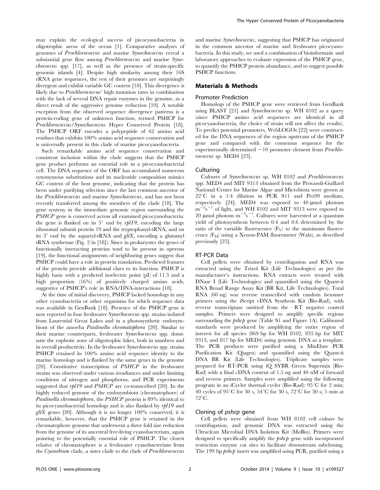may explain the ecological success of picocyanobacteria in oligotrophic areas of the ocean [1]. Comparative analyses of genomes of Prochlorococcus and marine Synechococcus reveal a substantial gene flow among *Prochlorococcus* and marine Synechococcus spp. [17], as well as the presence of strain-specific genomic islands [4]. Despite high similarity among their 16S rRNA gene sequences, the rest of their genomes are surprisingly divergent and exhibit variable GC content [18]. This divergence is likely due to Prochlorococcus' high mutation rates in combination with the lack of several DNA repair enzymes in the genome, as a direct result of the aggressive genome reduction [10]. A notable exception from the observed sequence divergence patterns is a protein-coding gene of unknown function, termed PSHCP for Prochlorococcus/Synechococcus Hyper Conserved Protein [18]. The PSHCP ORF encodes a polypeptide of 62 amino acid residues that exhibits 100% amino acid sequence conservation and is universally present in this clade of marine picocyanobacteria.

Such remarkable amino acid sequence conservation and consistent inclusion within the clade suggests that the PSHCP gene product performs an essential role in a picocyanobacterial cell. The DNA sequence of the ORF has accumulated numerous synonymous substitutions and its nucleotide composition mimics GC content of the host genome, indicating that the protein has been under purifying selection since the last common ancestor of the Prochlorococcus and marine Synechococcus, and has not been recently transferred among the members of the clade [18]. The gene synteny in the immediate genomic region surrounding the PSHCP gene is conserved across all examined picocyanobacteria: the gene is flanked on its  $5'$  end by  $rpl19$ , encoding the large ribosomal subunit protein 19 and the tryptophanyl-tRNA, and on its  $3'$  end by the aspartyl-tRNA and  $gltX$ , encoding a glutamyl tRNA synthetase (Fig. 2 in [18]). Since in prokaryotes the genes of functionally interacting proteins tend to be present in operons [19], the functional assignments of neighboring genes suggest that PSHCP could have a role in protein translation. Predicted features of the protein provide additional clues to its function. PSHCP is highly basic with a predicted isoelectric point (pI) of 11.3 and a high proportion (16%) of positively charged amino acids, suggestive of PSHCP's role in RNA/DNA-interactions [18].

At the time of initial discovery, PSHCP lacked homologs in any other cyanobacteria or other organisms for which sequence data was available in GenBank [18]. Presence of the PSHCP gene is now reported in four freshwater Synechococcus spp. strains isolated from Laurential Great Lakes and in a photosynthetic endosymbiont of the amoeba *Paulinella chromatophora* [20]. Similar to their marine counterparts, freshwater Synechococcus spp. dominate the euphotic zone of oligotrophic lakes, both in numbers and in overall productivity. In the freshwater Synechococcus spp. strains PSHCP retained its 100% amino acid sequence identity to the marine homologs and is flanked by the same genes in the genome [20]. Constitutive transcription of PSHCP in the freshwater strains was observed under various irradiances and under limiting conditions of nitrogen and phosphorus, and PCR experiments suggested that rpl19 and PSHCP are co-transcribed [20]. In the highly reduced genome of the endosymbiont (chromatophore) of Paulinella chromatophora, the PSHCP protein is 89% identical to its picocyanobacterial homologs and is also flanked by rpl19 and  $gltX$  genes [20]. Although it is no longer 100% conserved, it is remarkable, however, that the PSHCP gene is retained in the chromatophore genome that underwent a three fold size reduction from the genome of its ancestral free-living cyanobacterium, again pointing to the potentially essential role of PSHCP. The closest relative of chromatophore is a freshwater cyanobacterium from the Cyanobium clade, a sister clade to the clade of Prochlorococcus

and marine Synechococcus, suggesting that PSHCP has originated in the common ancestor of marine and freshwater picocyanobacteria. In this study, we used a combination of bioinformatic and laboratory approaches to evaluate expression of the PSHCP gene, to quantify the PSHCP protein abundance, and to suggest possible PSHCP functions.

#### Materials & Methods

### Promoter Prediction

Homologs of the PSHCP gene were retrieved from GenBank using BLAST [21] and Synechococcus sp. WH 8102 as a query (since PSHCP amino acid sequences are identical in all picocyanobacteria, the choice of strain will not affect the results). To predict potential promoters, WebLOGOs [22] were constructed for the DNA sequences of the region upstream of the PSHCP gene and compared with the consensus sequence for the experimentally determined  $-10$  promoter element from *Prochlo*rococcus sp. MED4 [23].

#### **Culturing**

Cultures of Synechococcus sp. WH 8102 and Prochlorococcus spp. MED4 and MIT 9313 obtained from the Provasoli-Guillard National Center for Marine Algae and Microbiota were grown at  $22^{\circ}$ C in a 1:4 dilution in PCR S11 and Pro99 medium, respectively [24]. MED4 was exposed to 40  $\mu$ mol photons  $m^{-2}s^{-1}$  of light, and WH 8102 and MIT 9313 were exposed to 20 µmol photons  $m^{-2}s^{-1}$ . Cultures were harvested at a quantum yield of photosynthesis between 0.4 and 0.6 determined by the ratio of the variable fluorescence  $(F_V)$  to the maximum fluorescence  $(F_M)$  using a Xenon-PAM fluorometer (Walz), as described previously [25].

#### RT-PCR Data

Cell pellets were obtained by centrifugation and RNA was extracted using the Trizol Kit (Life Technologies) as per the manufacturer's instructions. RNA extracts were treated with DNase I (Life Technologies) and quantified using the Quant-it RNA Broad Range Assay Kit (BR Kit, Life Technologies). Total RNA (60 ng) was reverse transcribed with random hexamer primers using the iScript cDNA Synthesis Kit (Bio-Rad), with reverse transcriptase omitted from the –RT negative control samples. Primers were designed to amplify specific regions surrounding the *pshcp* gene (Table S1 and Figure 1A). Calibrated standards were produced by amplifying the entire region of interest for all species (869 bp for WH 8102, 835 bp for MIT 9313, and 817 bp for MED4) using genomic DNA as a template. The PCR products were purified using a MinElute PCR Purification Kit (Qiagen) and quantified using the Quant-it DNA BR Kit (Life Technologies). Triplicate samples were prepared for RT-PCR using iQ SYBR Green Supermix (Bio-Rad) with a final cDNA content of 1.5 ng and 40 nM of forward and reverse primers. Samples were amplified using the following program in an iCycler thermal cycler (Bio-Rad):  $95^{\circ}$ C for 2 min; 40 cycles of  $95^{\circ}$ C for 30 s,  $54^{\circ}$ C for 30 s,  $72^{\circ}$ C for 30 s; 5 min at  $72^{\circ}$ C.

## Cloning of pshcp gene

Cell pellets were obtained from WH 8102 cell culture by centrifugation, and genomic DNA was extracted using the Ultraclean Microbial DNA Isolation Kit (MoBio). Primers were designed to specifically amplify the *pshcp* gene with incorporated restriction enzyme cut sites to facilitate downstream subcloning. The 199 bp *pshcp* insert was amplified using PCR, purified using a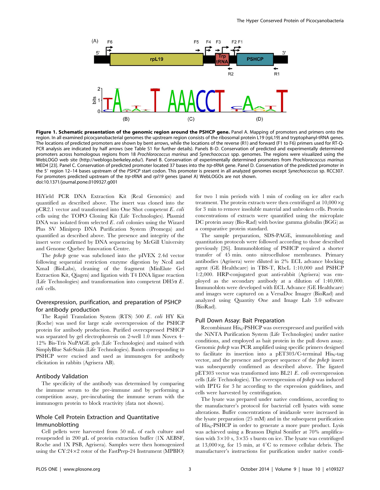

Figure 1. Schematic presentation of the genomic region around the PSHCP gene. Panel A. Mapping of promoters and primers onto the region. In all examined picocyanobacterial genomes the upstream region consists of the ribosomal protein L19 (rpL19) and tryptophanyl-tRNA genes. The locations of predicted promoters are shown by bent arrows, while the locations of the reverse (R1) and forward (F1 to F6) primers used for RT-Q-PCR analysis are indicated by half arrows (see Table S1 for further details). Panels B–D. Conservation of predicted and experimentally determined promoters across homologous regions from 18 Prochlorococcus marinus and Synechococcus spp. genomes. The regions were visualized using the WebLOGO web site [\(http://weblogo.berkeley.edu/](http://weblogo.berkeley.edu/)). Panel B. Conservation of experimentally determined promoters from Prochlorococcus marinus MED4 [23]. Panel C. Conservation of predicted promoter located 37 bases into the trp-tRNA gene. Panel D. Conservation of the predicted promoter in the 5' region 12-14 bases upstream of the PSHCP start codon. This promoter is present in all analyzed genomes except Synechococcus sp. RCC307. For promoters predicted upstream of the trp-tRNA and rpl19 genes (panel A) WebLOGOs are not shown. doi:10.1371/journal.pone.0109327.g001

HiYield PCR DNA Extraction Kit (Real Genomics) and quantified as described above. The insert was cloned into the pCR2.1 vector and transformed into One Shot competent E. coli cells using the TOPO Cloning Kit (Life Technologies). Plasmid DNA was isolated from selected E. coli colonies using the Wizard Plus SV Miniprep DNA Purification System (Promega) and quantified as described above. The presence and integrity of the insert were confirmed by DNA sequencing by McGill University and Genome Quebec Innovation Centre.

The *pshcp* gene was subcloned into the pIVEX 2.4d vector following sequential restriction enzyme digestion by NcoI and XmaI (BioLabs), cleaning of the fragment (MinElute Gel Extraction Kit, Qiagen) and ligation with T4 DNA ligase reaction (Life Technologies) and transformation into competent  $DH5\alpha E$ . coli cells.

## Overexpression, purification, and preparation of PSHCP for antibody production

The Rapid Translation System (RTS) 500 E. coli HY Kit (Roche) was used for large scale overexpression of the PSHCP protein for antibody production. Purified overexpressed PSHCP was separated by gel electrophoresis on 2-well 1.0 mm Novex 4– 12% Bis-Tris NuPAGE gels (Life Technologies) and stained with SimplyBlue SafeStain (Life Technologies). Bands corresponding to PSHCP were excised and used as immunogen for antibody elicitation in rabbits (Agrisera AB).

#### Antibody Validation

The specificity of the antibody was determined by comparing the immune serum to the pre-immune and by performing a competition assay, pre-incubating the immune serum with the immunogen protein to block reactivity (data not shown).

## Whole Cell Protein Extraction and Quantitative Immunoblotting

Cell pellets were harvested from 50 mL of each culture and resuspended in 200  $\mu$ L of protein extraction buffer (1X AEBSF, Roche and 1X PSB, Agrisera). Samples were then homogenized using the CY:24 $\times$ 2 rotor of the FastPrep-24 Instrument (MPBIO) for two 1 min periods with 1 min of cooling on ice after each treatment. The protein extracts were then centrifuged at  $10,000 \times g$ for 3 min to remove insoluble material and unbroken cells. Protein concentrations of extracts were quantified using the microplate DC protein assay (Bio-Rad) with bovine gamma globulin (BGG) as a comparative protein standard.

The sample preparation, SDS-PAGE, immunoblotting and quantitation protocols were followed according to those described previously [26]. Immunoblotting of PSHCP required a shorter transfer of 45 min. onto nitrocellulose membranes. Primary antibodies (Agrisera) were diluted in 2% ECL advance blocking agent (GE Healthcare) in TBS-T, RbcL 1:10,000 and PSHCP 1:2,000. HRP-conjugated goat anti-rabbit (Agrisera) was employed as the secondary antibody at a dilution of 1:40,000. Immunoblots were developed with ECL Advance (GE Healthcare) and images were captured on a VersaDoc Imager (BioRad) and analyzed using Quantity One and Image Lab 3.0 software (BioRad).

## Pull Down Assay: Bait Preparation

Recombinant  $His<sub>6</sub>$ -PSHCP was overexpressed and purified with the NiNTA Purification System (Life Technologies) under native conditions, and employed as bait protein in the pull down assay. Genomic *pshcp* was PCR amplified using specific primers designed to facilitate its insertion into a pET303/C-terminal  $His<sub>6</sub>$ -tag vector, and the presence and proper sequence of the pshcp insert was subsequently confirmed as described above. The ligated pET303 vector was transformed into BL21 E. coli overexpression cells (Life Technologies). The overexpression of pshcp was induced with IPTG for 3 hr according to the expression guidelines, and cells were harvested by centrifugation.

The lysate was prepared under native conditions, according to the manufacturer's protocol for bacterial cell lysates with some alterations. Buffer concentrations of imidazole were increased in the lysate preparation (25 mM) and in the subsequent purification of His<sub>6</sub>-PSHCP in order to generate a more pure product. Lysis was achieved using a Branson Digital Sonifier at 70% amplification with  $3\times10$  s,  $3\times35$  s bursts on ice. The lysate was centrifuged at  $13,000 \times g$ , for 15 min, at  $4^{\circ}$ C to remove cellular debris. The manufacturer's instructions for purification under native condi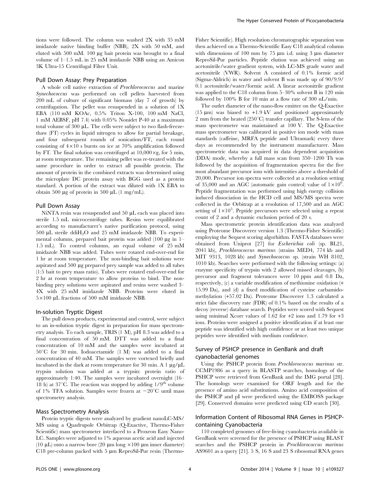tions were followed. The column was washed 2X with 35 mM imidazole native binding buffer (NBB), 2X with 50 mM, and eluted with 500 mM. 100 µg bait protein was brought to a final volume of 1–1.5 mL in 25 mM imidazole NBB using an Amicon 3K Ultra-15 Centrifugal Filter Unit.

### Pull Down Assay: Prey Preparation

A whole cell native extraction of Prochlorococcus and marine Synechococcus was performed on cell pellets harvested from 200 mL of culture of significant biomass (day 7 of growth) by centrifugation. The pellet was resuspended in a solution of 1X EBA (110 mM KOAc, 0.5% Triton X-100, 100 mM NaCl, 1 mM AEBSF, pH 7.4) with 0.05% Nonidet P-40 at a maximum total volume of 300  $\mu$ L. The cells were subject to two flash-freezethaw (FT) cycles in liquid nitrogen to allow for partial breakage, and four subsequent rounds of sonication/FT, each round consisting of  $4\times10$  s bursts on ice at 70% amplification followed by FT. The final solution was centrifuged at  $10,000 \times g$ , for 5 min, at room temperature. The remaining pellet was re-treated with the same procedure in order to extract all possible protein. The amount of protein in the combined extracts was determined using the microplate DC protein assay with BGG used as a protein standard. A portion of the extract was diluted with 1X EBA to obtain 500  $\mu$ g of protein in 500  $\mu$ L (1 mg/mL).

#### Pull Down Assay

NiNTA resin was resuspended and  $50 \mu L$  each was placed into sterile 1.5 mL microcentrifuge tubes. Resins were equilibrated according to manufacturer's native purification protocol, using 500  $\mu$ L sterile ddiH<sub>2</sub>O and 25 mM imidazole NBB. To experimental columns, prepared bait protein was added  $(100 \mu g \text{ in } 1$ -1.5 mL). To control columns, an equal volume of 25 mM imidazole NBB was added. Tubes were rotated end-over-end for 1 hr at room temperature. The non-binding bait solutions were aspirated and 500 µg prepared prey sample was added to all tubes (1:5 bait to prey mass ratio). Tubes were rotated end-over-end for 2 hr at room temperature to allow proteins to bind. The nonbinding prey solutions were aspirated and resins were washed 3– 4X with 25 mM imidazole NBB. Proteins were eluted in  $5\times100$  µL fractions of 500 mM imidazole NBB.

#### In-solution Tryptic Digest

The pull down products, experimental and control, were subject to an in-solution tryptic digest in preparation for mass spectrometry analysis. To each sample, TRIS (1 M), pH 8.3 was added to a final concentration of 50 mM. DTT was added to a final concentration of 10 mM and the samples were incubated at  $50^{\circ}$ C for 30 min. Iodoacetamide (1 M) was added to a final concentration of 40 mM. The samples were vortexed briefly and incubated in the dark at room temperature for 30 min. A 1  $\mu$ g/ $\mu$ L trypsin solution was added at a trypsin: protein ratio of approximately 1:40. The samples were incubated overnight (16– 18 h) at 37 $\rm{C}$ . The reaction was stopped by adding  $1/9^{th}$  volume of 1% TFA solution. Samples were frozen at  $-20^{\circ}$ C until mass spectrometry analysis.

## Mass Spectrometry Analysis

Protein tryptic digests were analyzed by gradient nanoLC-MS/ MS using a Quadrupole Orbitrap (Q-Exactive, Thermo-Fisher Scientific) mass spectrometer interfaced to a Proxeon Easy Nano-LC. Samples were adjusted to 1% aqueous acetic acid and injected (10  $\mu$ L) onto a narrow bore (20  $\mu$ m long ×100  $\mu$ m inner diameter)  $C18$  pre-column packed with 5  $\mu$ m ReproSil-Pur resin (ThermoFisher Scientific). High resolution chromatographic separation was then achieved on a Thermo-Scientific Easy C18 analytical column with dimensions of 100 mm by 75  $\mu$ m i.d. using 3  $\mu$ m diameter ReproSil-Pur particles. Peptide elution was achieved using an acetonitrile/water gradient system, with LC-MS grade water and acetonitrile (VWR). Solvent A consisted of 0.1% formic acid (Sigma-Aldrich) in water and solvent B was made up of 90/9.9/ 0.1 acetonitrile/water/formic acid. A linear acetonitrile gradient was applied to the C18 column from 5–30% solvent B in 120 min followed by 100% B for 10 min at a flow rate of 300 nL/min.

The outlet diameter of the nano-flow emitter on the Q-Exactive (15  $\mu$ m) was biased to +1.9 kV and positioned approximately 2 mm from the heated  $(250^{\circ}C)$  transfer capillary. The S-lens of the mass spectrometer was maintained at 100 V. The Q-Exactive mass spectrometer was calibrated in positive ion mode with mass standards (caffeine, MRFA peptide and Ultramark) every three days as recommended by the instrument manufacturer. Mass spectrometric data was acquired in data dependent acquisition (DDA) mode, whereby a full mass scan from 350–1200 Th was followed by the acquisition of fragmentation spectra for the five most abundant precursor ions with intensities above a threshold of 20,000. Precursor ion spectra were collected at a resolution setting of 35,000 and an AGC (automatic gain control) value of  $1 \times 10^6$ . Peptide fragmentation was performed using high energy collision induced dissociation in the HCD cell and MS/MS spectra were collected in the Orbitrap at a resolution of 17,500 and an AGC setting of  $1\times10^5$ . Peptide precursors were selected using a repeat count of 2 and a dynamic exclusion period of 20 s.

Mass spectrometric protein identification data was analyzed using Proteome Discoverer version 1.3 (Thermo-Fisher Scientific) employing the Sequest scoring algorhithm. FASTA databases were obtained from Uniprot [27] for Escherichia coli (sp. BL21, 2041 kb), Prochlorococcus marinus (strains MED4, 774 kb and MIT 9313, 1028 kb) and Synechococcus sp. (strain WH 8102, 1010 kb). Searches were performed with the following settings: (a) enzyme specificity of trypsin with 2 allowed missed cleavages, (b) precursor and fragment tolerances were 10 ppm and 0.8 Da, respectively, (c) a variable modification of methionine oxidation (+ 15.99 Da), and (d) a fixed modification of cysteine carbamidomethylation (+57.02 Da). Proteome Discoverer 1.3 calculated a strict false discovery rate (FDR) of 0.1% based on the results of a decoy (reverse) database search. Peptides were scored with Sequest using minimal Xcorr values of 1.62 for +2 ions and 1.79 for +3 ions. Proteins were assigned a positive identification if at least one peptide was identified with high confidence or at least two unique peptides were identified with medium confidence.

## Survey of PSHCP presence in GenBank and draft cyanobacterial genomes

Using the PSHCP protein from Prochlorococcus marinus str. CCMP1986 as a query in BLASTP searches, homologs of the PSHCP were retrieved from GenBank and the IMG portal [28]. The homologs were examined for ORF length and for the presence of amino acid substitutions. Amino acid composition of the PSHCP and pI were predicted using the EMBOSS package [29]. Conserved domains were predicted using CD search [30].

## Information Content of Ribosomal RNA Genes in PSHCPcontaining Cyanobacteria

110 completed genomes of free-living cyanobacteria available in GenBank were screened for the presence of PSHCP using BLAST searches and the PSHCP protein in Prochlorococcus marinus AS9601 as a query [21]. 5 S, 16 S and 23 S ribosomal RNA genes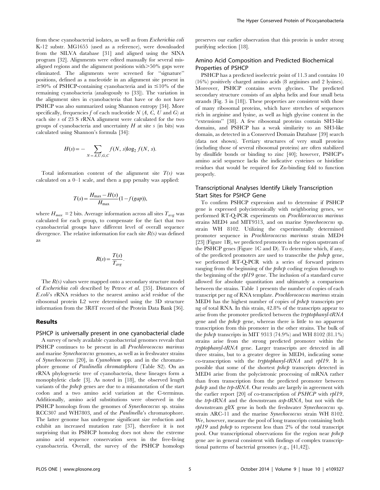from these cyanobacterial isolates, as well as from Escherichia coli K-12 substr. MG1655 (used as a reference), were downloaded from the SILVA database [31] and aligned using the SINA program [32]. Alignments were edited manually for several misaligned regions and the alignment positions with $>50\%$  gaps were eliminated. The alignments were screened for ''signature'' positions, defined as a nucleotide in an alignment site present in  $\geq 90\%$  of PSHCP-containing cyanobacteria and in  $\leq 10\%$  of the remaining cyanobacteria (analogously to [33]). The variation in the alignment sites in cyanobacteria that have or do not have PSHCP was also summarized using Shannon entropy [34]. More specifically, frequencies f of each nucleotide  $N(A, C, U, \text{and } G)$  at each site s of 23 S rRNA alignment were calculated for the two groups of cyanobacteria and uncertainty  $H$  at site s (in bits) was calculated using Shannon's formula [34]:

$$
H(s) = -\sum_{N = A, U, G, C} f(N, s) \log_2 f(N, s).
$$

Total information content of the alignment site  $T(s)$  was calculated on a 0–1 scale, and then a gap penalty was applied:

$$
T(s) = \frac{H_{\text{max}} - H(s)}{H_{\text{max}}} (1 - f(gap)),
$$

where  $H_{max}$  = 2 bits. Average information across all sites  $T_{avg}$  was calculated for each group, to compensate for the fact that two cyanobacterial groups have different level of overall sequence divergence. The relative information for each site  $R(s)$  was defined as

$$
R(s) = \frac{T(s)}{T_{avg}}.
$$

The  $R(s)$  values were mapped onto a secondary structure model of Escherichia coli described by Petrov et al. [35]. Distances of E.coli's rRNA residues to the nearest amino acid residue of the ribosomal protein L2 were determined using the 3D structure information from the 3R8T record of the Protein Data Bank [36].

#### Results

#### PSHCP is universally present in one cyanobacterial clade

A survey of newly available cyanobacterial genomes reveals that PSHCP continues to be present in all *Prochlorococcus marinus* and marine Synechococcus genomes, as well as in freshwater strains of Synechococcus [20], in Cyanobium spp. and in the chromatophore genome of Paulinella chromatophora (Table S2). On an rRNA phylogenetic tree of cyanobacteria, these lineages form a monophyletic clade [3]. As noted in [18], the observed length variants of the *pshcp* genes are due to a misannotation of the start codon and a two amino acid variation at the C-terminus. Additionally, amino acid substitutions were observed in the PSHCP homologs from the genomes of Synechococcus sp. strains RCC307 and WH7803, and of the Paulinella's chromatophore. The latter genome has undergone significant size reduction and exhibit an increased mutation rate [37], therefore it is not surprising that its PSHCP homolog does not show the extreme amino acid sequence conservation seen in the free-living cyanobacteria. Overall, the survey of the PSHCP homologs preserves our earlier observation that this protein is under strong purifying selection [18].

## Amino Acid Composition and Predicted Biochemical Properties of PSHCP

PSHCP has a predicted isoelectric point of 11.3 and contains 10 (16%) positively charged amino acids (8 arginines and 2 lysines). Moreover, PSHCP contains seven glycines. The predicted secondary structure consists of an alpha helix and four small beta strands (Fig. 3 in [18]). These properties are consistent with those of many ribosomal proteins, which have stretches of sequences rich in arginine and lysine, as well as high glycine content in the ''extensions'' [38]. A few ribosomal proteins contain SH3-like domains, and PSHCP has a weak similarity to an SH3-like domain, as detected in a Conserved Domain Database [39] search (data not shown). Tertiary structures of very small proteins (including those of several ribosomal proteins) are often stabilized by disulfide bonds or binding to zinc [40]; however, PSHCP's amino acid sequence lacks the indicative cysteines or histidine residues that would be required for Zn-binding fold to function properly.

## Transcriptional Analyses Identify Likely Transcription Start Sites for PSHCP Gene

To confirm PSHCP expression and to determine if PSHCP gene is expressed polycistronically with neighboring genes, we performed RT-Q-PCR experiments on Prochlorococcus marinus strains MED4 and MIT9313, and on marine Synechococcus sp. strain WH 8102. Utilizing the experimentally determined promoter sequence in Prochlorococcus marinus strain MED4 [23] (Figure 1B), we predicted promoters in the region upstream of the PSHCP genes (Figure 1C and D). To determine which, if any, of the predicted promoters are used to transcribe the pshcp gene, we performed RT-Q-PCR with a series of forward primers ranging from the beginning of the *pshcp* coding region through to the beginning of the  $rpl19$  gene. The inclusion of a standard curve allowed for absolute quantitation and ultimately a comparison between the strains. Table 1 presents the number of copies of each transcript per ng of RNA template. Prochlorococcus marinus strain MED4 has the highest number of copies of *pshcp* transcripts per ng of total RNA. In this strain, 42.8% of the transcripts appear to arise from the promoter predicted between the tryptophanyl-tRNA gene and the pshcp gene, whereas there is little to no apparent transcription from this promoter in the other strains. The bulk of the *pshcp* transcripts in MIT 9313 (74.9%) and WH 8102 (81.1%) strains arise from the strong predicted promoter within the tryptophanyl-tRNA gene. Larger transcripts are detected in all three strains, but to a greater degree in MED4, indicating some co-transcription with the tryptophanyl-tRNA and rpl19. It is possible that some of the shortest pshcp transcripts detected in MED4 arise from the polycistronic processing of mRNA rather than from transcription from the predicted promoter between  $pshcp$  and the  $trp$ -tRNA. Our results are largely in agreement with the earlier report [20] of co-transcription of PSHCP with rpl19, the trp-tRNA and the downstream asp-tRNA, but not with the downstream gltX gene in both the freshwater Synechococcus sp. strain ARC-11 and the marine Synechococcus strain WH 8102. We, however, measure the pool of long transcripts containing both  $rpl19$  and  $pshcp$  to represent less than 2% of the total transcript pool. Our transcriptional observations for the region near pshcp gene are in general consistent with findings of complex transcriptional patterns of bacterial genomes (e.g., [41,42]).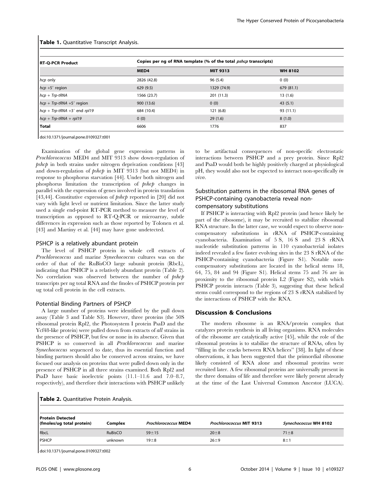|  |  | Table 1. Quantitative Transcript Analysis. |  |  |
|--|--|--------------------------------------------|--|--|
|--|--|--------------------------------------------|--|--|

| <b>RT-Q-PCR Product</b>         | Copies per ng of RNA template (% of the total <i>pshcp</i> transcripts) |             |                |  |  |
|---------------------------------|-------------------------------------------------------------------------|-------------|----------------|--|--|
|                                 | MED4                                                                    | MIT 9313    | <b>WH 8102</b> |  |  |
| hcp only                        | 2826 (42.8)                                                             | 96(5.4)     | 0(0)           |  |  |
| $hcp + 5'$ region               | 629(9.5)                                                                | 1329 (74.9) | 679 (81.1)     |  |  |
| $hcp + Trp$ -tRNA               | 1566 (23.7)                                                             | 201 (11.3)  | 13(1.6)        |  |  |
| $hcp + Trp$ -tRNA +5' region    | 900 (13.6)                                                              | 0(0)        | 43(5.1)        |  |  |
| $hcp + Trp$ -tRNA +3' end rpl19 | 684 (10.4)                                                              | 121(6.8)    | 93 (11.1)      |  |  |
| $hcp + Trp$ -tRNA + rpl19       | 0(0)                                                                    | 29(1.6)     | 8(1.0)         |  |  |
| Total                           | 6606                                                                    | 1776        | 837            |  |  |
|                                 |                                                                         |             |                |  |  |

doi:10.1371/journal.pone.0109327.t001

Examination of the global gene expression patterns in Prochlorococcus MED4 and MIT 9313 show down-regulation of  $pshcp$  in both strains under nitrogen deprivation conditions [43] and down-regulation of pshcp in MIT 9313 (but not MED4) in response to phosphorus starvation [44]. Under both nitrogen and phosphorus limitation the transcription of pshcp changes in parallel with the expression of genes involved in protein translation [43,44]. Constitutive expression of  $pshcp$  reported in [20] did not vary with light level or nutrient limitation. Since the latter study used a single end-point RT-PCR method to measure the level of transcription as opposed to RT-Q-PCR or microarray, subtle differences in expression such as those reported by Tolonen et al. [43] and Martiny et al. [44] may have gone undetected.

### PSHCP is a relatively abundant protein

The level of PSHCP protein in whole cell extracts of Prochlorococcus and marine Synechococcus cultures was on the order of that of the RuBisCO large subunit protein (RbcL), indicating that PSHCP is a relatively abundant protein (Table 2). No correlation was observed between the number of  $pshcp$ transcripts per ng total RNA and the fmoles of PSHCP protein per ug total cell protein in the cell extracts.

#### Potential Binding Partners of PSHCP

A large number of proteins were identified by the pull down assay (Table 3 and Table S3). However, three proteins (the 50S ribosomal protein Rpl2, the Photosystem I protein PsaD and the Ycf48-like protein) were pulled down from extracts of all strains in the presence of PSHCP, but few or none in its absence. Given that PSHCP is so conserved in all *Prochlorococcus* and marine Synechococcus sequenced to date, thus its essential function and binding partners should also be conserved across strains, we have focused our analysis on proteins that were pulled down only in the presence of PSHCP in all three strains examined. Both Rpl2 and PsaD have basic isoelectric points (11.1–11.6 and 7.0–8.7, respectively), and therefore their interactions with PSHCP unlikely to be artifactual consequences of non-specific electrostatic interactions between PSHCP and a prey protein. Since Rpl2 and PsaD would both be highly positively charged at physiological pH, they would also not be expected to interact non-specifically in vivo.

## Substitution patterns in the ribosomal RNA genes of PSHCP-containing cyanobacteria reveal noncompensatory substitutions

If PSHCP is interacting with Rpl2 protein (and hence likely be part of the ribosome), it may be recruited to stabilize ribosomal RNA structure. In the latter case, we would expect to observe noncompensatory substitutions in rRNA of PSHCP-containing cyanobacteria. Examination of 5 S, 16 S and 23 S rRNA nucleotide substitution patterns in 110 cyanobacterial isolates indeed revealed a few faster evolving sites in the 23 S rRNA of the PSHCP-containing cyanobacteria (Figure S1). Notable noncompensatory substitutions are located in the helical stems 18, 64, 75, 84 and 94 (Figure S1). Helical stems 75 and 76 are in proximity to the ribosomal protein L2 (Figure S2), with which PSHCP protein interacts (Table 3), suggesting that these helical stems could correspond to the regions of 23 S rRNA stabilized by the interactions of PSHCP with the RNA.

#### Discussion & Conclusions

The modern ribosome is an RNA/protein complex that catalyzes protein synthesis in all living organisms. RNA molecules of the ribosome are catalytically active [45], while the role of the ribosomal proteins is to stabilize the structure of RNAs, often by ''filling in the cracks between RNA helices'' [38]. In light of these observations, it has been suggested that the primordial ribosome likely consisted of RNA alone and ribosomal proteins were recruited later. A few ribosomal proteins are universally present in the three domains of life and therefore were likely present already at the time of the Last Universal Common Ancestor (LUCA).

|  |  | Table 2. Quantitative Protein Analysis. |  |  |  |
|--|--|-----------------------------------------|--|--|--|
|--|--|-----------------------------------------|--|--|--|

| <b>Protein Detected</b><br>(fmoles/ug total protein) | Complex        | <b>Prochlorococcus MED4</b> | <b>Prochlorococcus MIT 9313</b> | Synechococcus WH 8102 |
|------------------------------------------------------|----------------|-----------------------------|---------------------------------|-----------------------|
| RbcL                                                 | <b>RuBisCO</b> | $59 + 15$                   | $20 \pm 8$                      | $71 \pm 8$            |
| <b>I</b> PSHCP                                       | unknown        | $19 + 8$                    | $26 + 9$                        | $8 \pm 1$             |

doi:10.1371/journal.pone.0109327.t002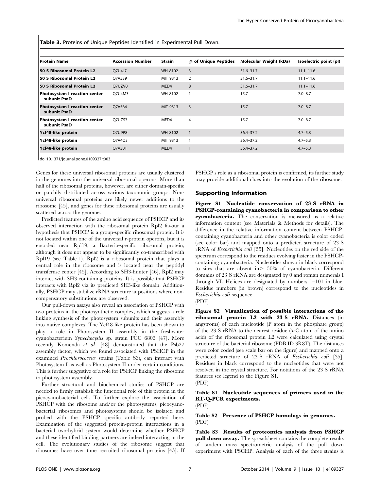Table 3. Proteins of Unique Peptides Identified in Experimental Pull Down.

| <b>Protein Name</b>                           | <b>Accession Number</b> | Strain   | $#$ of Unique Peptides | Molecular Weight (kDa) | Isoelectric point (pl) |
|-----------------------------------------------|-------------------------|----------|------------------------|------------------------|------------------------|
| 50 S Ribosomal Protein L2                     | O7U4J7                  | WH 8102  | 3                      | $31.6 - 31.7$          | $11.1 - 11.6$          |
| 50 S Ribosomal Protein L2                     | O7V539                  | MIT 9313 | 2                      | $31.6 - 31.7$          | $11.1 - 11.6$          |
| 50 S Ribosomal Protein L2                     | Q7UZV0                  | MED4     | 8                      | $31.6 - 31.7$          | $11.1 - 11.6$          |
| Photosystem I reaction center<br>subunit PsaD | O7U4M3                  | WH 8102  |                        | 15.7                   | $7.0 - 8.7$            |
| Photosystem I reaction center<br>subunit PsaD | O7V564                  | MIT 9313 | 3                      | 15.7                   | $7.0 - 8.7$            |
| Photosystem I reaction center<br>subunit PsaD | O7UZS7                  | MED4     | 4                      | 15.7                   | $7.0 - 8.7$            |
| Ycf48-like protein                            | O7U9P8                  | WH 8102  | $\mathbf{1}$           | $36.4 - 37.2$          | $4.7 - 5.3$            |
| Ycf48-like protein                            | O7V4O3                  | MIT 9313 |                        | $36.4 - 37.2$          | $4.7 - 5.3$            |
| Ycf48-like protein                            | Q7V301                  | MED4     |                        | $36.4 - 37.2$          | $4.7 - 5.3$            |

doi:10.1371/journal.pone.0109327.t003

Genes for these universal ribosomal proteins are usually clustered in the genomes into the universal ribosomal operons. More than half of the ribosomal proteins, however, are either domain-specific or patchily distributed across various taxonomic groups. Nonuniversal ribosomal proteins are likely newer additions to the ribosome [45], and genes for these ribosomal proteins are usually scattered across the genome.

Predicted features of the amino acid sequence of PSHCP and its observed interaction with the ribosomal protein Rpl2 favour a hypothesis that PSHCP is a group-specific ribosomal protein. It is not located within one of the universal r-protein operons, but it is encoded near Rpl19, a Bacteria-specific ribosomal protein, although it does not appear to be significantly co-transcribed with Rpl19 (see Table 1). Rpl2 is a ribosomal protein that plays a central role in the ribosome and is located near the peptidyl transferase center [45]. According to SH3-hunter [46], Rpl2 may interact with SH3-containing proteins. It is possible that PSHCP interacts with Rpl2 via its predicted SH3-like domain. Additionally, PSHCP may stabilize rRNA structure at positions where noncompensatory substitutions are observed.

Our pull-down assays also reveal an association of PSHCP with two proteins in the photosynthetic complex, which suggests a role linking synthesis of the photosystem subunits and their assembly into native complexes. The Ycf48-like protein has been shown to play a role in Photosystem II assembly in the freshwater cyanobacterium Synechocystis sp. strain PCC 6803 [47]. More recently Komenda et al. [48] demonstrated that the Psb27 assembly factor, which we found associated with PSHCP in the examined Prochlorococcus strains (Table S3), can interact with Photosystem I as well as Photosystem II under certain conditions. This is further suggestive of a role for PSHCP linking the ribosome to photosystem assembly.

Further structural and biochemical studies of PSHCP are needed to firmly establish the functional role of this protein in the picocyanobacterial cell. To further explore the association of PSHCP with the ribosome and/or the photosystems, picocyanobacterial ribosomes and photosystems should be isolated and probed with the PSHCP specific antibody reported here. Examination of the suggested protein-protein interactions in a bacterial two-hybrid system would determine whether PSHCP and these identified binding partners are indeed interacting in the cell. The evolutionary studies of the ribosome suggest that ribosomes have over time recruited ribosomal proteins [45]. If

PSHCP's role as a ribosomal protein is confirmed, its further study may provide additional clues into the evolution of the ribosome.

## Supporting Information

Figure S1 Nucleotide conservation of 23 S rRNA in PSHCP-containing cyanobacteria in comparison to other cyanobacteria. The conservation is measured as a relative information content (see Materials & Methods for details). The difference in the relative information content between PSHCPcontaining cyanobacteria and other cyanobacteria is color coded (see color bar) and mapped onto a predicted structure of 23 S rRNA of Escherichia coli [35]. Nucleotides on the red side of the spectrum correspond to the residues evolving faster in the PSHCPcontaining cyanobacteria. Nucleotides shown in black correspond to sites that are absent in  $> 50\%$  of cyanobacteria. Different domains of 23 S rRNA are designated by 0 and roman numerals I through VI. Helices are designated by numbers 1–101 in blue. Residue numbers (in brown) correspond to the nucleotides in Escherichia coli sequence.

(PDF)

Figure S2 Visualization of possible interactions of the ribosomal protein L2 with 23 S rRNA. Distances (in angstroms) of each nucleotide (P atom in the phosphate group) of the 23 S rRNA to the nearest residue  $(\alpha$ -C atom of the amino acid) of the ribosomal protein L2 were calculated using crystal structure of the bacterial ribosome (PDB ID 3R8T). The distances were color coded (see scale bar on the figure) and mapped onto a predicted structure of 23 S rRNA of Escherichia coli [35]. Residues in black correspond to the nucleotides that were not resolved in the crystal structure. For notations of the 23 S rRNA features see legend to the Figure S1. (PDF)

## Table S1 Nucleotide sequences of primers used in the RT-Q-PCR experiments.

(PDF)

Table S2 Presence of PSHCP homologs in genomes. (PDF)

Table S3 Results of proteomics analysis from PSHCP pull down assay. The spreadsheet contains the complete results of tandem mass spectrometric analysis of the pull down experiment with PSCHP. Analysis of each of the three strains is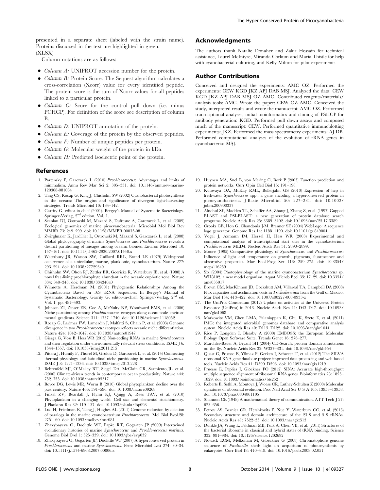presented in a separate sheet (labeled with the strain name). Proteins discussed in the text are highlighted in green. (XLSX)

Column notations are as follows:

- $\bullet$  *Column A*: UNIPROT accession number for the protein.
- $\bullet$  *Column B*: Protein Score. The Sequest algorithm calculates a cross-correlation (Xcorr) value for every identified peptide. The protein score is the sum of Xcorr values for all peptides linked to a particular protein.
- $\bullet$  *Column C*: Score for the control pull down (i.e. minus PCHCP). For definition of the score see description of column B.
- *Column D:* UNIPROT annotation of the protein.
- $\bullet$  *Column E:* Coverage of the protein by the observed peptides.
- $\bullet$  *Column F:* Number of unique peptides per protein.
- $\bullet$  *Column G*: Molecular weight of the protein in kDa.
- $\bullet$  *Column H:* Predicted isoelectric point of the protein.

#### References

- 1. Partensky F, Garczarek L (2010) Prochlorococcus: Advantages and limits of minimalism. Annu Rev Mar Sci 2: 305–331. doi: 10.1146/annurev-marine-120308-081034
- 2. Ting CS, Rocap G, King J, Chisholm SW (2002) Cyanobacterial photosynthesis in the oceans: The origins and significance of divergent light-harvesting strategies. Trends Microbiol 10: 134–142.
- 3. Garrity G, editor-in-chief (2001). Bergey's Manual of Systematic Bacteriology. Springer-Verlag, 2nd edition, Vol. 1.
- 4. Scanlan DJ, Ostrowski M, Mazard S, Dufresne A, Garczarek L, et al. (2009) Ecological genomics of marine picocyanobacteria. Microbiol Mol Biol Rev MMBR 73: 249–299. doi: 10.1128/MMBR.00035-08
- 5. Zwirglmaier K, Jardillier L, Ostrowski M, Mazard S, Garczarek L, et al. (2008) Global phylogeography of marine Synechococcus and Prochlorococcus reveals a distinct partitioning of lineages among oceanic biomes. Environ Microbiol 10: 147–161. doi: 10.1111/j.1462-2920.2007.01440.x
- 6. Waterbury JB, Watson SW, Guillard RRL, Brand LE (1979) Widespread occurrence of a unicellular, marine, planktonic, cyanobacterium. Nature 277: 293–294. doi: 10.1038/277293a0
- 7. Chisholm SW, Olson RJ, Zettler ER, Goericke R, Waterbury JB, et al. (1988) A novel free-living prochlorophyte abundant in the oceanic euphotic zone. Nature 334: 340–343. doi: 10.1038/334340a0
- 8. Wilmotte A, Herdman M. (2001) Phylogenetic Relationships Among the Cyanobacteria Based on 16S rRNA Sequences. In Bergey's Manual of Systematic Bacteriology. Garrity G, editor-in-chief. Springer-Verlag, 2nd ed. Vol. 1. pp. 487–493.
- 9. Johnson ZI, Zinser ER, Coe A, McNulty NP, Woodward EMS, et al. (2006) Niche partitioning among Prochlorococcus ecotypes along ocean-scale environmental gradients. Science 311: 1737–1740. doi: 10.1126/science.1118052
- 10. Rocap G, Larimer FW, Lamerdin J, Malfatti S, Chain P, et al. (2003) Genome divergence in two Prochlorococcus ecotypes reflects oceanic niche differentiation. Nature 424: 1042–1047. doi: 10.1038/nature01947
- 11. Gierga G, Voss B, Hess WR (2012) Non-coding RNAs in marine Synechococcus and their regulation under environmentally relevant stress conditions. ISME J 6: 1544–1557. doi: 10.1038/ismej.2011.215
- 12. Pittera J, Humily F, Thorel M, Grulois D, Garczarek L, et al. (2014) Connecting thermal physiology and latitudinal niche partitioning in marine Synechococcus. ISME J 8: 1221–1236. doi: 10.1038/ismej.2013.228
- 13. Behrenfeld MJ, O'Malley RT, Siegel DA, McClain CR, Sarmiento JL, et al. (2006) Climate-driven trends in contemporary ocean productivity. Nature 444: 752–755. doi: 10.1038/nature05317
- 14. Boyce DG, Lewis MR, Worm B (2010) Global phytoplankton decline over the past century. Nature 466: 591–596. doi: 10.1038/nature09268
- 15. Finkel ZV, Beardall J, Flynn KJ, Quigg A, Rees TAV, et al. (2010) Phytoplankton in a changing world: Cell size and elemental stoichiometry. J Plankton Res 32: 119–137. doi: 10.1093/plankt/fbp098
- 16. Luo H, Friedman R, Tang J, Hughes AL (2011) Genome reduction by deletion of paralogs in the marine cyanobacterium Prochlorococcus. Mol Biol Evol.28: 2751–60. doi: 10.1093/molbev/msr081
- 17. Zhaxybayeva O, Doolittle WF, Papke RT, Gogarten JP (2009) Intertwined evolutionary histories of marine Synechococcus and Prochlorococcus marinus. Genome Biol Evol 1: 325–339. doi: 10.1093/gbe/evp032
- 18. Zhaxybayeva O, Gogarten JP, Doolittle WF (2007) A hyperconserved protein in Prochlorococcus and marine Synechococcus. Fems Microbiol Lett 274: 30–34. doi: 10.1111/j.1574-6968.2007.00806.x

## Acknowledgments

The authors thank Natalie Donaher and Zakir Hossain for technical assistance, Laurel McIntyre, Miranda Corkum and Maria Thistle for help with cyanobacterial culturing, and Kelly Milton for pilot experiments.

#### Author Contributions

Conceived and designed the experiments: AMC OZ. Performed the experiments: CEW KGD JKZ APJ DAB MSJ. Analyzed the data: CEW KGD JKZ APJ DAB MSJ OZ AMC. Contributed reagents/materials/ analysis tools: AMC. Wrote the paper: CEW OZ AMC. Conceived the study, interpreted results and wrote the manuscript: AMC OZ. Performed transcriptional analyses, initial bioinformatics and cloning of PSHCP for antibody generation: KGD. Performed pull down assays and composed much of the manuscript: CEW. Performed quantitative immunoblotting experiments: JKZ. Performed the mass spectrometry experiments: AJ DB. Performed computational analyses of the evolution of rRNA genes in cyanobacteria: MSJ.

- 19. Huynen MA, Snel B, von Mering C, Bork P (2003) Function prediction and protein networks. Curr Opin Cell Biol 15: 191–198.
- 20. Kutovaya OA, McKay RML, Bullerjahn GS (2010) Expression of hcp in freshwater Synechococcus spp., a gene encoding a hyperconserved protein in picocyanobacteria. J Basic Microbiol 50: 227–231. doi: 10.1002/ jobm.200900337
- 21. Altschul SF, Madden TL, Schäffer AA, Zhang J, Zhang Z, et al. (1997) Gapped BLAST and PSI-BLAST: a new generation of protein database search programs. Nucleic Acids Res 25: 3389–3402. doi: 10.1093/nar/25.17.3389
- 22. Crooks GE, Hon G, Chandonia J-M, Brenner SE (2004) WebLogo: A sequence logo generator. Genome Res 14: 1188–1190. doi: 10.1101/gr.849004
- 23. Vogel J, Axmann IM, Herzel H, Hess WR (2003) Experimental and computational analysis of transcriptional start sites in the cyanobacterium Prochlorococcus MED4. Nucleic Acids Res 31: 2890–2899.
- 24. Moore (1995) Comparative physiology of Synechococcus and Prochlorococcus: Influence of light and temperature on growth, pigments, fluorescence and absorptive properties. Mar Ecol-Prog Ser 116: 259–275. doi: 10.3354/ meps116259
- 25. Six (2004) Photophysiology of the marine cyanobacterium Synechococcus sp. WH8102, a new model organism. Aquat Microb Ecol 35: 17–29. doi: 10.3354/ ame035017
- 26. Brown CM, MacKinnon JD, Cockshutt AM, Villareal TA, Campbell DA (2008) Flux capacities and acclimation costs in Trichodesmium from the Gulf of Mexico. Mar Biol 154: 413–422. doi: 10.1007/s00227-008-0933-z
- 27. The UniProt Consortium (2012) Update on activities at the Universal Protein Resource (UniProt) in 2013. Nucleic Acids Res 41: D43–D47. doi: 10.1093/ nar/gks1068
- 28. Markowitz VM, Chen I-MA, Palaniappan K, Chu K, Szeto E, et al. (2011) IMG: the integrated microbial genomes database and comparative analysis system. Nucleic Acids Res 40: D115–D122. doi: 10.1093/nar/gkr1044
- 29. Rice P, Longden I, Bleasby A (2000) EMBOSS: the European Molecular Biology Open Software Suite. Trends Genet 16: 276–277.
- 30. Marchler-Bauer A, Bryant SH (2004) CD-Search: protein domain annotations on the fly. Nucleic Acids Res 32: W327–331. doi: 10.1093/nar/gkh454
- 31. Quast C, Pruesse E, Yilmaz P, Gerken J, Schweer T, et al. (2012) The SILVA ribosomal RNA gene database project: improved data processing and web-based tools. Nucleic Acids Res 41: D590–D596. doi: 10.1093/nar/gks1219
- 32. Pruesse E, Peplies J, Glöckner FO (2012) SINA: Accurate high-throughput multiple sequence alignment of ribosomal RNA genes. Bioinformatics 28: 1823– 1829. doi: 10.1093/bioinformatics/bts252
- 33. Roberts E, Sethi A, Montoya J, Woese CR, Luthey-Schulten Z (2008) Molecular signatures of ribosomal evolution. Proc Natl Acad Sci U S A 105: 13953–13958. doi: 10.1073/pnas.0804861105
- 34. Shannon CE (1948) A mathematical theory of communication. ATT Tech J 27: 623–656.
- 35. Petrov AS, Bernier CR, Hershkovits E, Xue Y, Waterbury CC, et al. (2013) Secondary structure and domain architecture of the 23 S and 5 S rRNAs. Nucleic Acids Res 41: 7522–35. doi: 10.1093/nar/gkt513
- 36. Dunkle JA, Wang L, Feldman MB, Pulk A, Chen VB, et al. (2011) Structures of the bacterial ribosome in classical and hybrid states of tRNA binding. Science 332: 981–984. doi: 10.1126/science.1202692
- 37. Nowack ECM, Melkonian M, Gloeckner G (2008) Chromatophore genome sequence of Paulinella sheds light on acquisition of photosynthesis by eukaryotes. Curr Biol 18: 410–418. doi: 10.1016/j.cub.2008.02.051